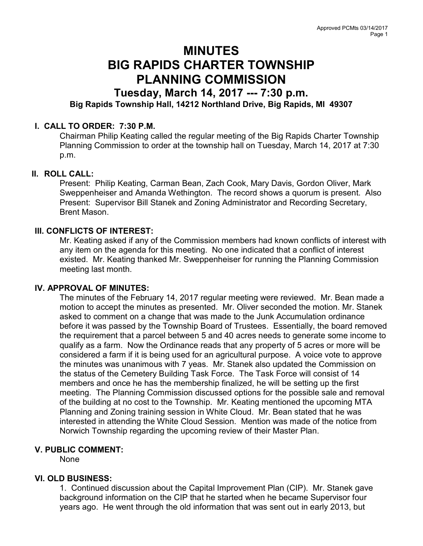# MINUTES BIG RAPIDS CHARTER TOWNSHIP PLANNING COMMISSION

# Tuesday, March 14, 2017 --- 7:30 p.m. Big Rapids Township Hall, 14212 Northland Drive, Big Rapids, MI 49307

## I. CALL TO ORDER: 7:30 P.M.

Chairman Philip Keating called the regular meeting of the Big Rapids Charter Township Planning Commission to order at the township hall on Tuesday, March 14, 2017 at 7:30 p.m.

#### II. ROLL CALL:

Present: Philip Keating, Carman Bean, Zach Cook, Mary Davis, Gordon Oliver, Mark Sweppenheiser and Amanda Wethington. The record shows a quorum is present. Also Present: Supervisor Bill Stanek and Zoning Administrator and Recording Secretary, Brent Mason.

#### III. CONFLICTS OF INTEREST:

Mr. Keating asked if any of the Commission members had known conflicts of interest with any item on the agenda for this meeting. No one indicated that a conflict of interest existed. Mr. Keating thanked Mr. Sweppenheiser for running the Planning Commission meeting last month.

#### IV. APPROVAL OF MINUTES:

The minutes of the February 14, 2017 regular meeting were reviewed. Mr. Bean made a motion to accept the minutes as presented. Mr. Oliver seconded the motion. Mr. Stanek asked to comment on a change that was made to the Junk Accumulation ordinance before it was passed by the Township Board of Trustees. Essentially, the board removed the requirement that a parcel between 5 and 40 acres needs to generate some income to qualify as a farm. Now the Ordinance reads that any property of 5 acres or more will be considered a farm if it is being used for an agricultural purpose. A voice vote to approve the minutes was unanimous with 7 yeas. Mr. Stanek also updated the Commission on the status of the Cemetery Building Task Force. The Task Force will consist of 14 members and once he has the membership finalized, he will be setting up the first meeting. The Planning Commission discussed options for the possible sale and removal of the building at no cost to the Township. Mr. Keating mentioned the upcoming MTA Planning and Zoning training session in White Cloud. Mr. Bean stated that he was interested in attending the White Cloud Session. Mention was made of the notice from Norwich Township regarding the upcoming review of their Master Plan.

## V. PUBLIC COMMENT:

None

## VI. OLD BUSINESS:

1. Continued discussion about the Capital Improvement Plan (CIP). Mr. Stanek gave background information on the CIP that he started when he became Supervisor four years ago. He went through the old information that was sent out in early 2013, but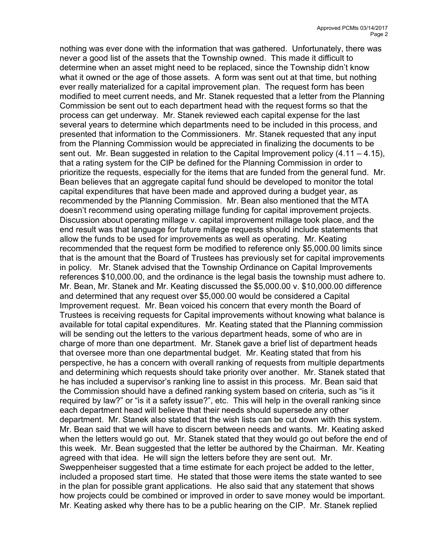nothing was ever done with the information that was gathered. Unfortunately, there was never a good list of the assets that the Township owned. This made it difficult to determine when an asset might need to be replaced, since the Township didn't know what it owned or the age of those assets. A form was sent out at that time, but nothing ever really materialized for a capital improvement plan. The request form has been modified to meet current needs, and Mr. Stanek requested that a letter from the Planning Commission be sent out to each department head with the request forms so that the process can get underway. Mr. Stanek reviewed each capital expense for the last several years to determine which departments need to be included in this process, and presented that information to the Commissioners. Mr. Stanek requested that any input from the Planning Commission would be appreciated in finalizing the documents to be sent out. Mr. Bean suggested in relation to the Capital Improvement policy  $(4.11 - 4.15)$ , that a rating system for the CIP be defined for the Planning Commission in order to prioritize the requests, especially for the items that are funded from the general fund. Mr. Bean believes that an aggregate capital fund should be developed to monitor the total capital expenditures that have been made and approved during a budget year, as recommended by the Planning Commission. Mr. Bean also mentioned that the MTA doesn't recommend using operating millage funding for capital improvement projects. Discussion about operating millage v. capital improvement millage took place, and the end result was that language for future millage requests should include statements that allow the funds to be used for improvements as well as operating. Mr. Keating recommended that the request form be modified to reference only \$5,000.00 limits since that is the amount that the Board of Trustees has previously set for capital improvements in policy. Mr. Stanek advised that the Township Ordinance on Capital Improvements references \$10,000.00, and the ordinance is the legal basis the township must adhere to. Mr. Bean, Mr. Stanek and Mr. Keating discussed the \$5,000.00 v. \$10,000.00 difference and determined that any request over \$5,000.00 would be considered a Capital Improvement request. Mr. Bean voiced his concern that every month the Board of Trustees is receiving requests for Capital improvements without knowing what balance is available for total capital expenditures. Mr. Keating stated that the Planning commission will be sending out the letters to the various department heads, some of who are in charge of more than one department. Mr. Stanek gave a brief list of department heads that oversee more than one departmental budget. Mr. Keating stated that from his perspective, he has a concern with overall ranking of requests from multiple departments and determining which requests should take priority over another. Mr. Stanek stated that he has included a supervisor's ranking line to assist in this process. Mr. Bean said that the Commission should have a defined ranking system based on criteria, such as "is it required by law?" or "is it a safety issue?", etc. This will help in the overall ranking since each department head will believe that their needs should supersede any other department. Mr. Stanek also stated that the wish lists can be cut down with this system. Mr. Bean said that we will have to discern between needs and wants. Mr. Keating asked when the letters would go out. Mr. Stanek stated that they would go out before the end of this week. Mr. Bean suggested that the letter be authored by the Chairman. Mr. Keating agreed with that idea. He will sign the letters before they are sent out. Mr. Sweppenheiser suggested that a time estimate for each project be added to the letter, included a proposed start time. He stated that those were items the state wanted to see in the plan for possible grant applications. He also said that any statement that shows how projects could be combined or improved in order to save money would be important. Mr. Keating asked why there has to be a public hearing on the CIP. Mr. Stanek replied